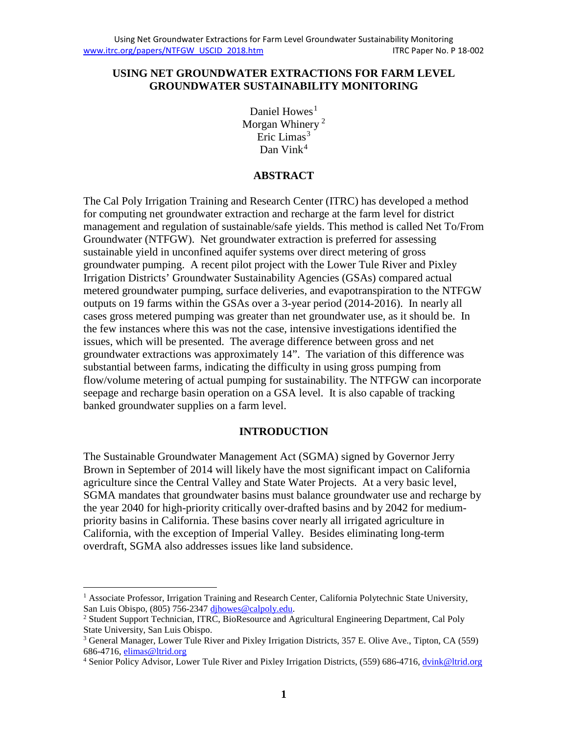#### **USING NET GROUNDWATER EXTRACTIONS FOR FARM LEVEL GROUNDWATER SUSTAINABILITY MONITORING**

Daniel Howes<sup>[1](#page-0-0)</sup> Morgan Whinery<sup>[2](#page-0-1)</sup> Eric Limas<sup>[3](#page-0-2)</sup> Dan Vink<sup>[4](#page-0-3)</sup>

### **ABSTRACT**

The Cal Poly Irrigation Training and Research Center (ITRC) has developed a method for computing net groundwater extraction and recharge at the farm level for district management and regulation of sustainable/safe yields. This method is called Net To/From Groundwater (NTFGW). Net groundwater extraction is preferred for assessing sustainable yield in unconfined aquifer systems over direct metering of gross groundwater pumping. A recent pilot project with the Lower Tule River and Pixley Irrigation Districts' Groundwater Sustainability Agencies (GSAs) compared actual metered groundwater pumping, surface deliveries, and evapotranspiration to the NTFGW outputs on 19 farms within the GSAs over a 3-year period (2014-2016). In nearly all cases gross metered pumping was greater than net groundwater use, as it should be. In the few instances where this was not the case, intensive investigations identified the issues, which will be presented. The average difference between gross and net groundwater extractions was approximately 14". The variation of this difference was substantial between farms, indicating the difficulty in using gross pumping from flow/volume metering of actual pumping for sustainability. The NTFGW can incorporate seepage and recharge basin operation on a GSA level. It is also capable of tracking banked groundwater supplies on a farm level.

#### **INTRODUCTION**

The Sustainable Groundwater Management Act (SGMA) signed by Governor Jerry Brown in September of 2014 will likely have the most significant impact on California agriculture since the Central Valley and State Water Projects. At a very basic level, SGMA mandates that groundwater basins must balance groundwater use and recharge by the year 2040 for high-priority critically over-drafted basins and by 2042 for mediumpriority basins in California. These basins cover nearly all irrigated agriculture in California, with the exception of Imperial Valley. Besides eliminating long-term overdraft, SGMA also addresses issues like land subsidence.

<span id="page-0-0"></span><sup>&</sup>lt;sup>1</sup> Associate Professor, Irrigation Training and Research Center, California Polytechnic State University, San Luis Obispo, (805) 756-234[7 djhowes@calpoly.edu.](mailto:djhowes@calpoly.edu)

<span id="page-0-1"></span><sup>&</sup>lt;sup>2</sup> Student Support Technician, ITRC, BioResource and Agricultural Engineering Department, Cal Poly State University, San Luis Obispo.

<span id="page-0-2"></span><sup>3</sup> General Manager, Lower Tule River and Pixley Irrigation Districts, 357 E. Olive Ave., Tipton, CA (559) 686-4716, [elimas@ltrid.org](mailto:elimas@ltrid.org)

<span id="page-0-3"></span><sup>&</sup>lt;sup>4</sup> Senior Policy Advisor, Lower Tule River and Pixley Irrigation Districts, (559) 686-4716[, dvink@ltrid.org](mailto:dvink@ltrid.org)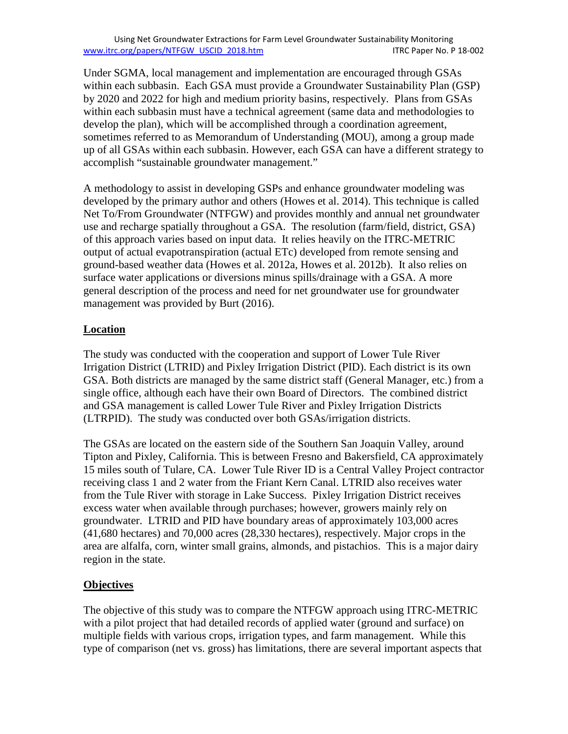Using Net Groundwater Extractions for Farm Level Groundwater Sustainability Monitoring [www.itrc.org/papers/NTFGW\\_USCID\\_2018.htm](http://www.itrc.org/papers/NTFGW_USCID_2018.htm) ITRC Paper No. P 18-002

Under SGMA, local management and implementation are encouraged through GSAs within each subbasin. Each GSA must provide a Groundwater Sustainability Plan (GSP) by 2020 and 2022 for high and medium priority basins, respectively. Plans from GSAs within each subbasin must have a technical agreement (same data and methodologies to develop the plan), which will be accomplished through a coordination agreement, sometimes referred to as Memorandum of Understanding (MOU), among a group made up of all GSAs within each subbasin. However, each GSA can have a different strategy to accomplish "sustainable groundwater management."

A methodology to assist in developing GSPs and enhance groundwater modeling was developed by the primary author and others (Howes et al. 2014). This technique is called Net To/From Groundwater (NTFGW) and provides monthly and annual net groundwater use and recharge spatially throughout a GSA. The resolution (farm/field, district, GSA) of this approach varies based on input data. It relies heavily on the ITRC-METRIC output of actual evapotranspiration (actual ETc) developed from remote sensing and ground-based weather data (Howes et al. 2012a, Howes et al. 2012b). It also relies on surface water applications or diversions minus spills/drainage with a GSA. A more general description of the process and need for net groundwater use for groundwater management was provided by Burt (2016).

### **Location**

The study was conducted with the cooperation and support of Lower Tule River Irrigation District (LTRID) and Pixley Irrigation District (PID). Each district is its own GSA. Both districts are managed by the same district staff (General Manager, etc.) from a single office, although each have their own Board of Directors. The combined district and GSA management is called Lower Tule River and Pixley Irrigation Districts (LTRPID). The study was conducted over both GSAs/irrigation districts.

The GSAs are located on the eastern side of the Southern San Joaquin Valley, around Tipton and Pixley, California. This is between Fresno and Bakersfield, CA approximately 15 miles south of Tulare, CA. Lower Tule River ID is a Central Valley Project contractor receiving class 1 and 2 water from the Friant Kern Canal. LTRID also receives water from the Tule River with storage in Lake Success. Pixley Irrigation District receives excess water when available through purchases; however, growers mainly rely on groundwater. LTRID and PID have boundary areas of approximately 103,000 acres (41,680 hectares) and 70,000 acres (28,330 hectares), respectively. Major crops in the area are alfalfa, corn, winter small grains, almonds, and pistachios. This is a major dairy region in the state.

#### **Objectives**

The objective of this study was to compare the NTFGW approach using ITRC-METRIC with a pilot project that had detailed records of applied water (ground and surface) on multiple fields with various crops, irrigation types, and farm management. While this type of comparison (net vs. gross) has limitations, there are several important aspects that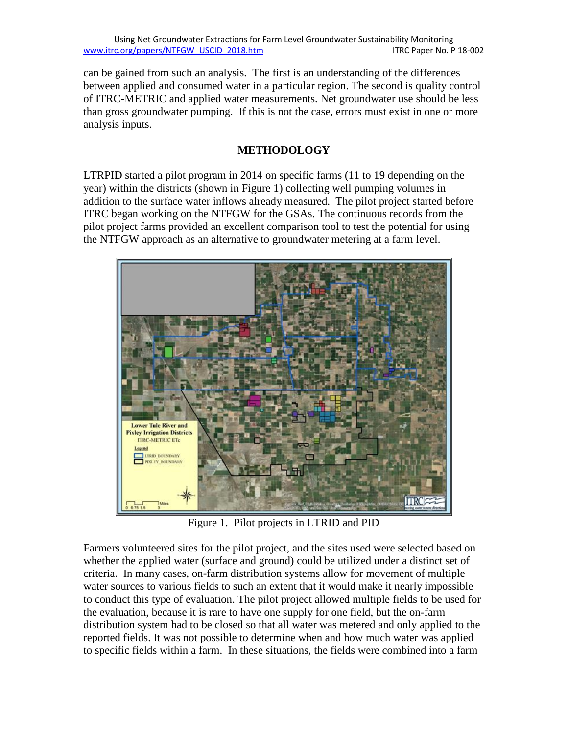can be gained from such an analysis. The first is an understanding of the differences between applied and consumed water in a particular region. The second is quality control of ITRC-METRIC and applied water measurements. Net groundwater use should be less than gross groundwater pumping. If this is not the case, errors must exist in one or more analysis inputs.

## **METHODOLOGY**

LTRPID started a pilot program in 2014 on specific farms (11 to 19 depending on the year) within the districts (shown in Figure 1) collecting well pumping volumes in addition to the surface water inflows already measured. The pilot project started before ITRC began working on the NTFGW for the GSAs. The continuous records from the pilot project farms provided an excellent comparison tool to test the potential for using the NTFGW approach as an alternative to groundwater metering at a farm level.



Figure 1. Pilot projects in LTRID and PID

Farmers volunteered sites for the pilot project, and the sites used were selected based on whether the applied water (surface and ground) could be utilized under a distinct set of criteria. In many cases, on-farm distribution systems allow for movement of multiple water sources to various fields to such an extent that it would make it nearly impossible to conduct this type of evaluation. The pilot project allowed multiple fields to be used for the evaluation, because it is rare to have one supply for one field, but the on-farm distribution system had to be closed so that all water was metered and only applied to the reported fields. It was not possible to determine when and how much water was applied to specific fields within a farm. In these situations, the fields were combined into a farm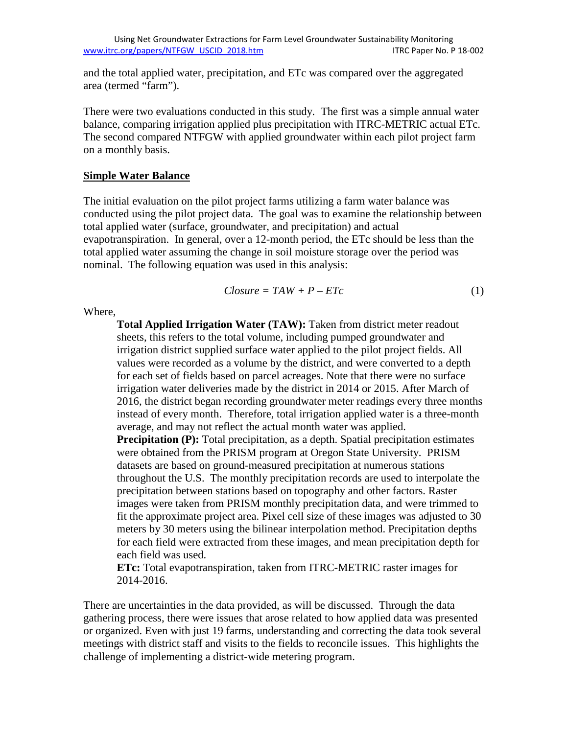and the total applied water, precipitation, and ETc was compared over the aggregated area (termed "farm").

There were two evaluations conducted in this study. The first was a simple annual water balance, comparing irrigation applied plus precipitation with ITRC-METRIC actual ETc. The second compared NTFGW with applied groundwater within each pilot project farm on a monthly basis.

#### **Simple Water Balance**

The initial evaluation on the pilot project farms utilizing a farm water balance was conducted using the pilot project data. The goal was to examine the relationship between total applied water (surface, groundwater, and precipitation) and actual evapotranspiration. In general, over a 12-month period, the ETc should be less than the total applied water assuming the change in soil moisture storage over the period was nominal. The following equation was used in this analysis:

$$
Closure = TAW + P - ETC \tag{1}
$$

Where,

**Total Applied Irrigation Water (TAW):** Taken from district meter readout sheets, this refers to the total volume, including pumped groundwater and irrigation district supplied surface water applied to the pilot project fields. All values were recorded as a volume by the district, and were converted to a depth for each set of fields based on parcel acreages. Note that there were no surface irrigation water deliveries made by the district in 2014 or 2015. After March of 2016, the district began recording groundwater meter readings every three months instead of every month. Therefore, total irrigation applied water is a three-month average, and may not reflect the actual month water was applied. **Precipitation (P):** Total precipitation, as a depth. Spatial precipitation estimates were obtained from the PRISM program at Oregon State University. PRISM datasets are based on ground-measured precipitation at numerous stations throughout the U.S. The monthly precipitation records are used to interpolate the precipitation between stations based on topography and other factors. Raster images were taken from PRISM monthly precipitation data, and were trimmed to fit the approximate project area. Pixel cell size of these images was adjusted to 30 meters by 30 meters using the bilinear interpolation method. Precipitation depths for each field were extracted from these images, and mean precipitation depth for each field was used.

**ETc:** Total evapotranspiration, taken from ITRC-METRIC raster images for 2014-2016.

There are uncertainties in the data provided, as will be discussed. Through the data gathering process, there were issues that arose related to how applied data was presented or organized. Even with just 19 farms, understanding and correcting the data took several meetings with district staff and visits to the fields to reconcile issues. This highlights the challenge of implementing a district-wide metering program.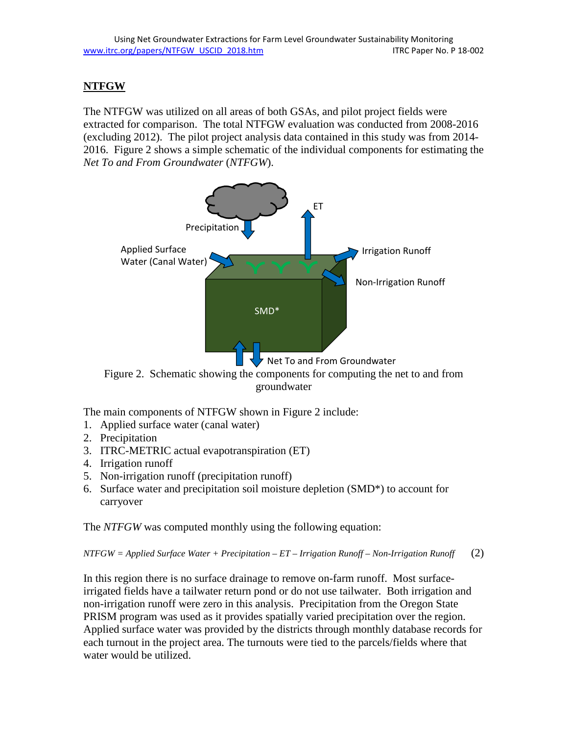# **NTFGW**

The NTFGW was utilized on all areas of both GSAs, and pilot project fields were extracted for comparison. The total NTFGW evaluation was conducted from 2008-2016 (excluding 2012). The pilot project analysis data contained in this study was from 2014- 2016. Figure 2 shows a simple schematic of the individual components for estimating the *Net To and From Groundwater* (*NTFGW*).



Figure 2. Schematic showing the components for computing the net to and from groundwater

The main components of NTFGW shown in Figure 2 include:

- 1. Applied surface water (canal water)
- 2. Precipitation
- 3. ITRC-METRIC actual evapotranspiration (ET)
- 4. Irrigation runoff
- 5. Non-irrigation runoff (precipitation runoff)
- 6. Surface water and precipitation soil moisture depletion (SMD\*) to account for carryover

The *NTFGW* was computed monthly using the following equation:

*NTFGW = Applied Surface Water + Precipitation – ET – Irrigation Runoff – Non-Irrigation Runoff* (2)

In this region there is no surface drainage to remove on-farm runoff. Most surfaceirrigated fields have a tailwater return pond or do not use tailwater. Both irrigation and non-irrigation runoff were zero in this analysis. Precipitation from the Oregon State PRISM program was used as it provides spatially varied precipitation over the region. Applied surface water was provided by the districts through monthly database records for each turnout in the project area. The turnouts were tied to the parcels/fields where that water would be utilized.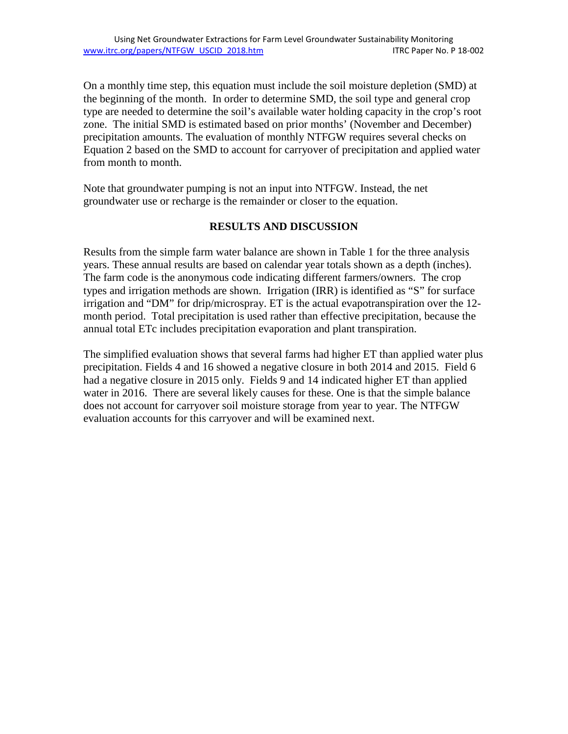On a monthly time step, this equation must include the soil moisture depletion (SMD) at the beginning of the month. In order to determine SMD, the soil type and general crop type are needed to determine the soil's available water holding capacity in the crop's root zone. The initial SMD is estimated based on prior months' (November and December) precipitation amounts. The evaluation of monthly NTFGW requires several checks on Equation 2 based on the SMD to account for carryover of precipitation and applied water from month to month.

Note that groundwater pumping is not an input into NTFGW. Instead, the net groundwater use or recharge is the remainder or closer to the equation.

#### **RESULTS AND DISCUSSION**

Results from the simple farm water balance are shown in Table 1 for the three analysis years. These annual results are based on calendar year totals shown as a depth (inches). The farm code is the anonymous code indicating different farmers/owners. The crop types and irrigation methods are shown. Irrigation (IRR) is identified as "S" for surface irrigation and "DM" for drip/microspray. ET is the actual evapotranspiration over the 12 month period. Total precipitation is used rather than effective precipitation, because the annual total ETc includes precipitation evaporation and plant transpiration.

The simplified evaluation shows that several farms had higher ET than applied water plus precipitation. Fields 4 and 16 showed a negative closure in both 2014 and 2015. Field 6 had a negative closure in 2015 only. Fields 9 and 14 indicated higher ET than applied water in 2016. There are several likely causes for these. One is that the simple balance does not account for carryover soil moisture storage from year to year. The NTFGW evaluation accounts for this carryover and will be examined next.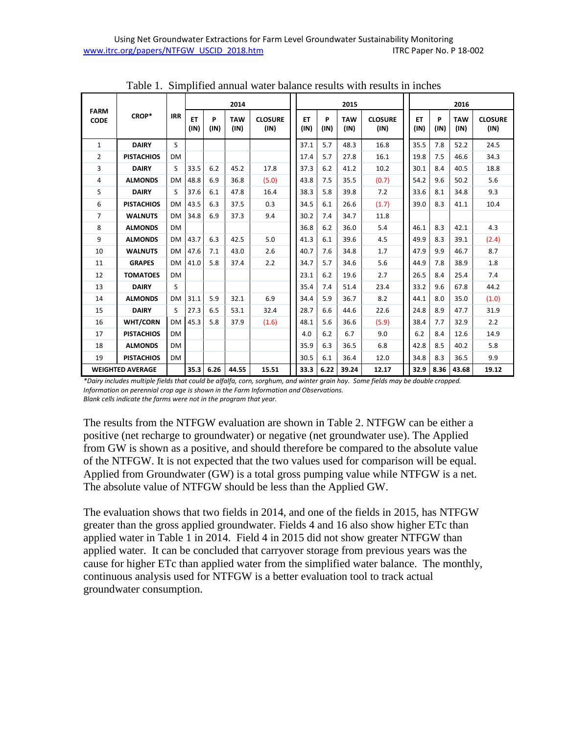|                            | CROP*             | <b>IRR</b> | 2014              |           |                    |                        | 2015              |           |                    |                        | 2016              |           |                    |                        |
|----------------------------|-------------------|------------|-------------------|-----------|--------------------|------------------------|-------------------|-----------|--------------------|------------------------|-------------------|-----------|--------------------|------------------------|
| <b>FARM</b><br><b>CODE</b> |                   |            | <b>ET</b><br>(IN) | P<br>(IN) | <b>TAW</b><br>(IN) | <b>CLOSURE</b><br>(IN) | <b>ET</b><br>(IN) | P<br>(IN) | <b>TAW</b><br>(IN) | <b>CLOSURE</b><br>(IN) | <b>ET</b><br>(IN) | P<br>(IN) | <b>TAW</b><br>(IN) | <b>CLOSURE</b><br>(IN) |
| $\mathbf{1}$               | <b>DAIRY</b>      | S          |                   |           |                    |                        | 37.1              | 5.7       | 48.3               | 16.8                   | 35.5              | 7.8       | 52.2               | 24.5                   |
| 2                          | <b>PISTACHIOS</b> | <b>DM</b>  |                   |           |                    |                        | 17.4              | 5.7       | 27.8               | 16.1                   | 19.8              | 7.5       | 46.6               | 34.3                   |
| 3                          | <b>DAIRY</b>      | S          | 33.5              | 6.2       | 45.2               | 17.8                   | 37.3              | 6.2       | 41.2               | 10.2                   | 30.1              | 8.4       | 40.5               | 18.8                   |
| 4                          | <b>ALMONDS</b>    | <b>DM</b>  | 48.8              | 6.9       | 36.8               | (5.0)                  | 43.8              | 7.5       | 35.5               | (0.7)                  | 54.2              | 9.6       | 50.2               | 5.6                    |
| 5                          | <b>DAIRY</b>      | S          | 37.6              | 6.1       | 47.8               | 16.4                   | 38.3              | 5.8       | 39.8               | 7.2                    | 33.6              | 8.1       | 34.8               | 9.3                    |
| 6                          | <b>PISTACHIOS</b> | <b>DM</b>  | 43.5              | 6.3       | 37.5               | 0.3                    | 34.5              | 6.1       | 26.6               | (1.7)                  | 39.0              | 8.3       | 41.1               | 10.4                   |
| 7                          | <b>WALNUTS</b>    | <b>DM</b>  | 34.8              | 6.9       | 37.3               | 9.4                    | 30.2              | 7.4       | 34.7               | 11.8                   |                   |           |                    |                        |
| 8                          | <b>ALMONDS</b>    | <b>DM</b>  |                   |           |                    |                        | 36.8              | 6.2       | 36.0               | 5.4                    | 46.1              | 8.3       | 42.1               | 4.3                    |
| 9                          | <b>ALMONDS</b>    | <b>DM</b>  | 43.7              | 6.3       | 42.5               | 5.0                    | 41.3              | 6.1       | 39.6               | 4.5                    | 49.9              | 8.3       | 39.1               | (2.4)                  |
| 10                         | <b>WALNUTS</b>    | <b>DM</b>  | 47.6              | 7.1       | 43.0               | 2.6                    | 40.7              | 7.6       | 34.8               | 1.7                    | 47.9              | 9.9       | 46.7               | 8.7                    |
| 11                         | <b>GRAPES</b>     | <b>DM</b>  | 41.0              | 5.8       | 37.4               | 2.2                    | 34.7              | 5.7       | 34.6               | 5.6                    | 44.9              | 7.8       | 38.9               | 1.8                    |
| 12                         | <b>TOMATOES</b>   | <b>DM</b>  |                   |           |                    |                        | 23.1              | 6.2       | 19.6               | 2.7                    | 26.5              | 8.4       | 25.4               | 7.4                    |
| 13                         | <b>DAIRY</b>      | S          |                   |           |                    |                        | 35.4              | 7.4       | 51.4               | 23.4                   | 33.2              | 9.6       | 67.8               | 44.2                   |
| 14                         | <b>ALMONDS</b>    | DM         | 31.1              | 5.9       | 32.1               | 6.9                    | 34.4              | 5.9       | 36.7               | 8.2                    | 44.1              | 8.0       | 35.0               | (1.0)                  |
| 15                         | <b>DAIRY</b>      | S          | 27.3              | 6.5       | 53.1               | 32.4                   | 28.7              | 6.6       | 44.6               | 22.6                   | 24.8              | 8.9       | 47.7               | 31.9                   |
| 16                         | <b>WHT/CORN</b>   | <b>DM</b>  | 45.3              | 5.8       | 37.9               | (1.6)                  | 48.1              | 5.6       | 36.6               | (5.9)                  | 38.4              | 7.7       | 32.9               | 2.2                    |
| 17                         | <b>PISTACHIOS</b> | <b>DM</b>  |                   |           |                    |                        | 4.0               | 6.2       | 6.7                | 9.0                    | 6.2               | 8.4       | 12.6               | 14.9                   |
| 18                         | <b>ALMONDS</b>    | <b>DM</b>  |                   |           |                    |                        | 35.9              | 6.3       | 36.5               | 6.8                    | 42.8              | 8.5       | 40.2               | 5.8                    |
| 19                         | <b>PISTACHIOS</b> | <b>DM</b>  |                   |           |                    |                        | 30.5              | 6.1       | 36.4               | 12.0                   | 34.8              | 8.3       | 36.5               | 9.9                    |
| <b>WEIGHTED AVERAGE</b>    |                   |            | 35.3              | 6.26      | 44.55              | 15.51                  | 33.3              | 6.22      | 39.24              | 12.17                  | 32.9              | 8.36      | 43.68              | 19.12                  |

Table 1. Simplified annual water balance results with results in inches

*\*Dairy includes multiple fields that could be alfalfa, corn, sorghum, and winter grain hay. Some fields may be double cropped. Information on perennial crop age is shown in the Farm Information and Observations. Blank cells indicate the farms were not in the program that year.*

The results from the NTFGW evaluation are shown in Table 2. NTFGW can be either a positive (net recharge to groundwater) or negative (net groundwater use). The Applied from GW is shown as a positive, and should therefore be compared to the absolute value of the NTFGW. It is not expected that the two values used for comparison will be equal. Applied from Groundwater (GW) is a total gross pumping value while NTFGW is a net. The absolute value of NTFGW should be less than the Applied GW.

The evaluation shows that two fields in 2014, and one of the fields in 2015, has NTFGW greater than the gross applied groundwater. Fields 4 and 16 also show higher ETc than applied water in Table 1 in 2014. Field 4 in 2015 did not show greater NTFGW than applied water. It can be concluded that carryover storage from previous years was the cause for higher ETc than applied water from the simplified water balance. The monthly, continuous analysis used for NTFGW is a better evaluation tool to track actual groundwater consumption.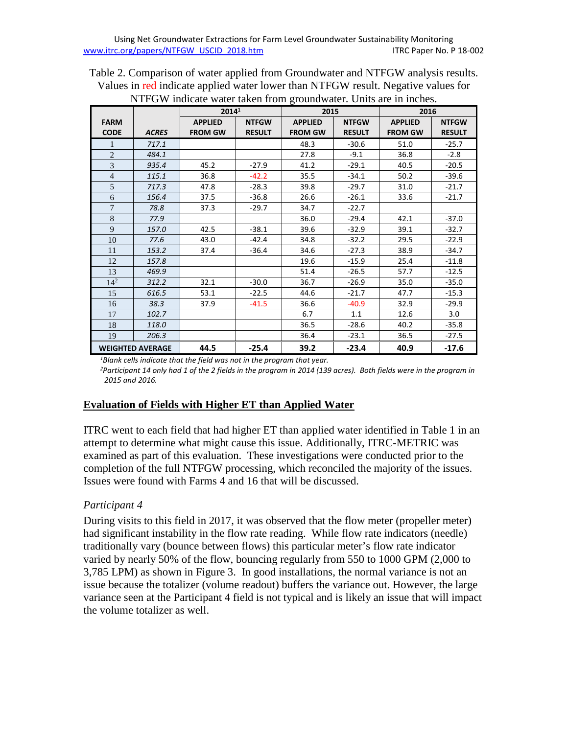| Table 2. Comparison of water applied from Groundwater and NTFGW analysis results. |
|-----------------------------------------------------------------------------------|
| Values in red indicate applied water lower than NTFGW result. Negative values for |
| NTFGW indicate water taken from groundwater. Units are in inches.                 |

|                         |              | 2014 <sup>1</sup> |               | 2015           |               | 2016           |               |  |
|-------------------------|--------------|-------------------|---------------|----------------|---------------|----------------|---------------|--|
| <b>FARM</b>             |              | <b>APPLIED</b>    | <b>NTFGW</b>  | <b>APPLIED</b> | <b>NTFGW</b>  | <b>APPLIED</b> | <b>NTFGW</b>  |  |
| <b>CODE</b>             | <b>ACRES</b> | <b>FROM GW</b>    | <b>RESULT</b> | <b>FROM GW</b> | <b>RESULT</b> | <b>FROM GW</b> | <b>RESULT</b> |  |
| 1                       | 717.1        |                   |               | 48.3           | $-30.6$       | 51.0           | $-25.7$       |  |
| $\overline{2}$          | 484.1        |                   |               | 27.8           | $-9.1$        | 36.8           | $-2.8$        |  |
| 3                       | 935.4        | 45.2              | $-27.9$       | 41.2           | $-29.1$       | 40.5           | $-20.5$       |  |
| $\overline{4}$          | 115.1        | 36.8              | $-42.2$       | 35.5           | $-34.1$       | 50.2           | $-39.6$       |  |
| 5                       | 717.3        | 47.8              | $-28.3$       | 39.8           | $-29.7$       | 31.0           | $-21.7$       |  |
| 6                       | 156.4        | 37.5              | $-36.8$       | 26.6           | $-26.1$       | 33.6           | $-21.7$       |  |
| $\overline{7}$          | 78.8         | 37.3              | $-29.7$       | 34.7           | $-22.7$       |                |               |  |
| $\,8\,$                 | 77.9         |                   |               | 36.0           | $-29.4$       | 42.1           | $-37.0$       |  |
| 9                       | 157.0        | 42.5              | $-38.1$       | 39.6           | $-32.9$       | 39.1           | $-32.7$       |  |
| 10                      | 77.6         | 43.0              | $-42.4$       | 34.8           | $-32.2$       | 29.5           | $-22.9$       |  |
| 11                      | 153.2        | 37.4              | $-36.4$       | 34.6           | $-27.3$       | 38.9           | $-34.7$       |  |
| 12                      | 157.8        |                   |               | 19.6           | $-15.9$       | 25.4           | $-11.8$       |  |
| 13                      | 469.9        |                   |               | 51.4           | $-26.5$       | 57.7           | $-12.5$       |  |
| $14^{2}$                | 312.2        | 32.1              | $-30.0$       | 36.7           | $-26.9$       | 35.0           | $-35.0$       |  |
| 15                      | 616.5        | 53.1              | $-22.5$       | 44.6           | $-21.7$       | 47.7           | $-15.3$       |  |
| 16                      | 38.3         | 37.9              | $-41.5$       | 36.6           | $-40.9$       | 32.9           | $-29.9$       |  |
| 17                      | 102.7        |                   |               | 6.7            | 1.1           | 12.6           | 3.0           |  |
| 18                      | 118.0        |                   |               | 36.5           | $-28.6$       | 40.2           | $-35.8$       |  |
| 19                      | 206.3        |                   |               | 36.4           | $-23.1$       | 36.5           | $-27.5$       |  |
| <b>WEIGHTED AVERAGE</b> |              | 44.5              | $-25.4$       | 39.2           | $-23.4$       | 40.9           | $-17.6$       |  |

*1Blank cells indicate that the field was not in the program that year.*

*2Participant 14 only had 1 of the 2 fields in the program in 2014 (139 acres). Both fields were in the program in 2015 and 2016.*

### **Evaluation of Fields with Higher ET than Applied Water**

ITRC went to each field that had higher ET than applied water identified in Table 1 in an attempt to determine what might cause this issue. Additionally, ITRC-METRIC was examined as part of this evaluation. These investigations were conducted prior to the completion of the full NTFGW processing, which reconciled the majority of the issues. Issues were found with Farms 4 and 16 that will be discussed.

### *Participant 4*

During visits to this field in 2017, it was observed that the flow meter (propeller meter) had significant instability in the flow rate reading. While flow rate indicators (needle) traditionally vary (bounce between flows) this particular meter's flow rate indicator varied by nearly 50% of the flow, bouncing regularly from 550 to 1000 GPM (2,000 to 3,785 LPM) as shown in Figure 3. In good installations, the normal variance is not an issue because the totalizer (volume readout) buffers the variance out. However, the large variance seen at the Participant 4 field is not typical and is likely an issue that will impact the volume totalizer as well.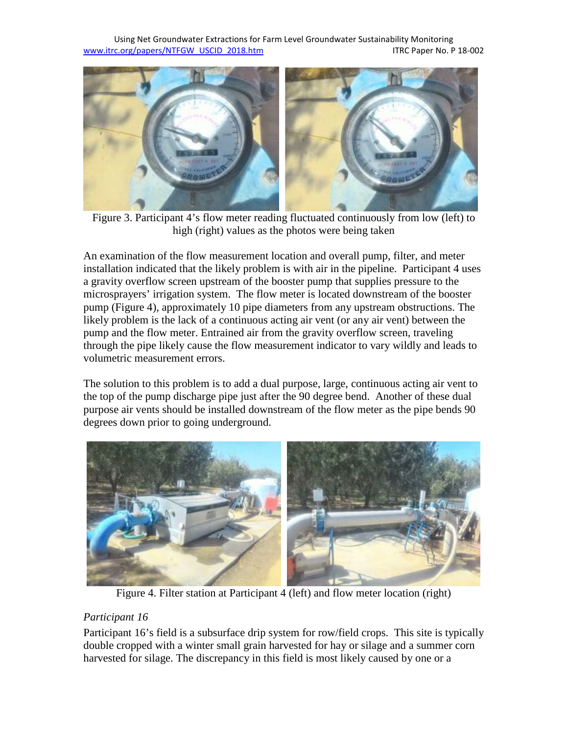Using Net Groundwater Extractions for Farm Level Groundwater Sustainability Monitoring [www.itrc.org/papers/NTFGW\\_USCID\\_2018.htm](http://www.itrc.org/papers/NTFGW_USCID_2018.htm) ITRC Paper No. P 18-002



 Figure 3. Participant 4's flow meter reading fluctuated continuously from low (left) to high (right) values as the photos were being taken

An examination of the flow measurement location and overall pump, filter, and meter installation indicated that the likely problem is with air in the pipeline. Participant 4 uses a gravity overflow screen upstream of the booster pump that supplies pressure to the microsprayers' irrigation system. The flow meter is located downstream of the booster pump (Figure 4), approximately 10 pipe diameters from any upstream obstructions. The likely problem is the lack of a continuous acting air vent (or any air vent) between the pump and the flow meter. Entrained air from the gravity overflow screen, traveling through the pipe likely cause the flow measurement indicator to vary wildly and leads to volumetric measurement errors.

The solution to this problem is to add a dual purpose, large, continuous acting air vent to the top of the pump discharge pipe just after the 90 degree bend. Another of these dual purpose air vents should be installed downstream of the flow meter as the pipe bends 90 degrees down prior to going underground.



Figure 4. Filter station at Participant 4 (left) and flow meter location (right)

### *Participant 16*

Participant 16's field is a subsurface drip system for row/field crops. This site is typically double cropped with a winter small grain harvested for hay or silage and a summer corn harvested for silage. The discrepancy in this field is most likely caused by one or a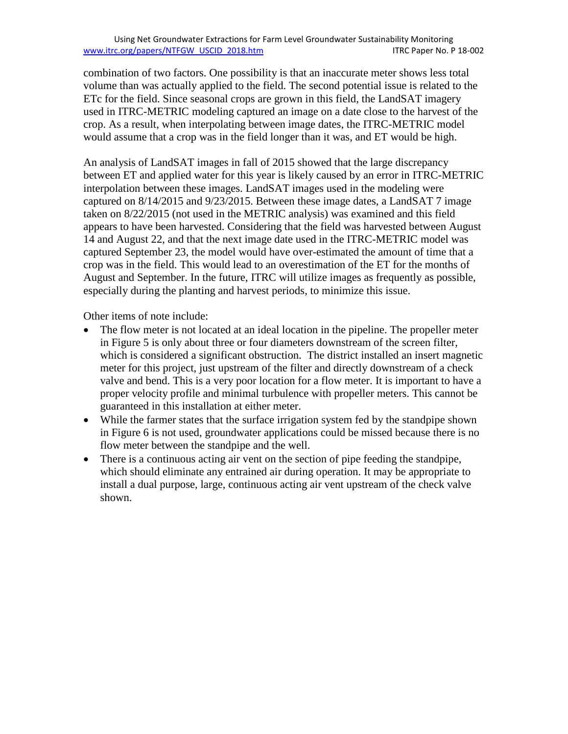combination of two factors. One possibility is that an inaccurate meter shows less total volume than was actually applied to the field. The second potential issue is related to the ETc for the field. Since seasonal crops are grown in this field, the LandSAT imagery used in ITRC-METRIC modeling captured an image on a date close to the harvest of the crop. As a result, when interpolating between image dates, the ITRC-METRIC model would assume that a crop was in the field longer than it was, and ET would be high.

An analysis of LandSAT images in fall of 2015 showed that the large discrepancy between ET and applied water for this year is likely caused by an error in ITRC-METRIC interpolation between these images. LandSAT images used in the modeling were captured on 8/14/2015 and 9/23/2015. Between these image dates, a LandSAT 7 image taken on 8/22/2015 (not used in the METRIC analysis) was examined and this field appears to have been harvested. Considering that the field was harvested between August 14 and August 22, and that the next image date used in the ITRC-METRIC model was captured September 23, the model would have over-estimated the amount of time that a crop was in the field. This would lead to an overestimation of the ET for the months of August and September. In the future, ITRC will utilize images as frequently as possible, especially during the planting and harvest periods, to minimize this issue.

Other items of note include:

- The flow meter is not located at an ideal location in the pipeline. The propeller meter in Figure 5 is only about three or four diameters downstream of the screen filter, which is considered a significant obstruction. The district installed an insert magnetic meter for this project, just upstream of the filter and directly downstream of a check valve and bend. This is a very poor location for a flow meter. It is important to have a proper velocity profile and minimal turbulence with propeller meters. This cannot be guaranteed in this installation at either meter.
- While the farmer states that the surface irrigation system fed by the standpipe shown in Figure 6 is not used, groundwater applications could be missed because there is no flow meter between the standpipe and the well.
- There is a continuous acting air vent on the section of pipe feeding the standpipe, which should eliminate any entrained air during operation. It may be appropriate to install a dual purpose, large, continuous acting air vent upstream of the check valve shown.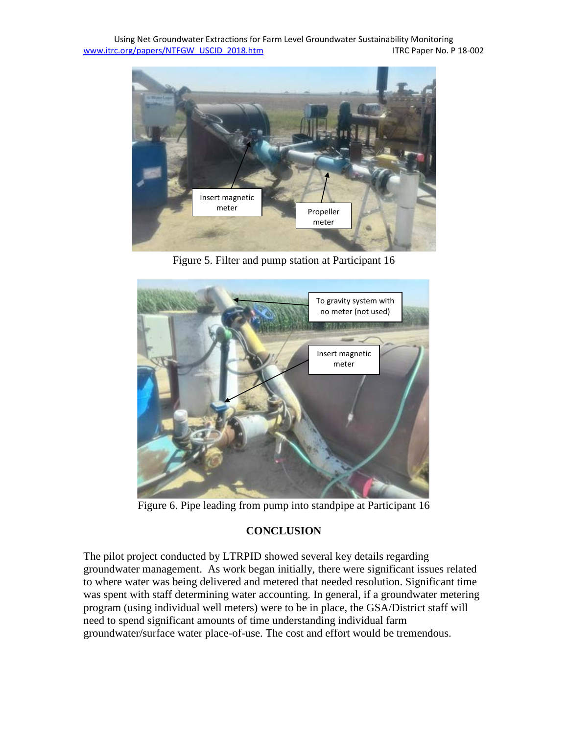Using Net Groundwater Extractions for Farm Level Groundwater Sustainability Monitoring [www.itrc.org/papers/NTFGW\\_USCID\\_2018.htm](http://www.itrc.org/papers/NTFGW_USCID_2018.htm) ITRC Paper No. P 18-002



Figure 5. Filter and pump station at Participant 16



Figure 6. Pipe leading from pump into standpipe at Participant 16

### **CONCLUSION**

The pilot project conducted by LTRPID showed several key details regarding groundwater management. As work began initially, there were significant issues related to where water was being delivered and metered that needed resolution. Significant time was spent with staff determining water accounting. In general, if a groundwater metering program (using individual well meters) were to be in place, the GSA/District staff will need to spend significant amounts of time understanding individual farm groundwater/surface water place-of-use. The cost and effort would be tremendous.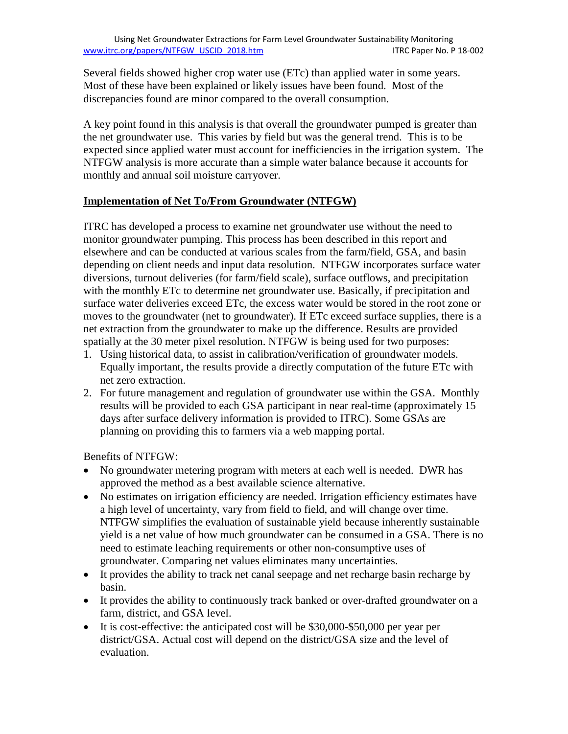Several fields showed higher crop water use (ETc) than applied water in some years. Most of these have been explained or likely issues have been found. Most of the discrepancies found are minor compared to the overall consumption.

A key point found in this analysis is that overall the groundwater pumped is greater than the net groundwater use. This varies by field but was the general trend. This is to be expected since applied water must account for inefficiencies in the irrigation system. The NTFGW analysis is more accurate than a simple water balance because it accounts for monthly and annual soil moisture carryover.

### **Implementation of Net To/From Groundwater (NTFGW)**

ITRC has developed a process to examine net groundwater use without the need to monitor groundwater pumping. This process has been described in this report and elsewhere and can be conducted at various scales from the farm/field, GSA, and basin depending on client needs and input data resolution. NTFGW incorporates surface water diversions, turnout deliveries (for farm/field scale), surface outflows, and precipitation with the monthly ETc to determine net groundwater use. Basically, if precipitation and surface water deliveries exceed ETc, the excess water would be stored in the root zone or moves to the groundwater (net to groundwater). If ETc exceed surface supplies, there is a net extraction from the groundwater to make up the difference. Results are provided spatially at the 30 meter pixel resolution. NTFGW is being used for two purposes:

- 1. Using historical data, to assist in calibration/verification of groundwater models. Equally important, the results provide a directly computation of the future ETc with net zero extraction.
- 2. For future management and regulation of groundwater use within the GSA. Monthly results will be provided to each GSA participant in near real-time (approximately 15 days after surface delivery information is provided to ITRC). Some GSAs are planning on providing this to farmers via a web mapping portal.

Benefits of NTFGW:

- No groundwater metering program with meters at each well is needed. DWR has approved the method as a best available science alternative.
- No estimates on irrigation efficiency are needed. Irrigation efficiency estimates have a high level of uncertainty, vary from field to field, and will change over time. NTFGW simplifies the evaluation of sustainable yield because inherently sustainable yield is a net value of how much groundwater can be consumed in a GSA. There is no need to estimate leaching requirements or other non-consumptive uses of groundwater. Comparing net values eliminates many uncertainties.
- It provides the ability to track net canal seepage and net recharge basin recharge by basin.
- It provides the ability to continuously track banked or over-drafted groundwater on a farm, district, and GSA level.
- It is cost-effective: the anticipated cost will be \$30,000-\$50,000 per year per district/GSA. Actual cost will depend on the district/GSA size and the level of evaluation.